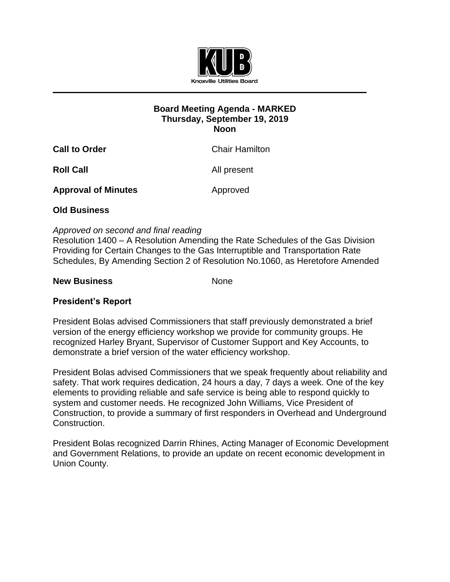

## **Board Meeting Agenda - MARKED Thursday, September 19, 2019 Noon**

| <b>Call to Order</b>       | <b>Chair Hamilton</b> |
|----------------------------|-----------------------|
| <b>Roll Call</b>           | All present           |
| <b>Approval of Minutes</b> | Approved              |

## **Old Business**

## *Approved on second and final reading*

Resolution 1400 – A Resolution Amending the Rate Schedules of the Gas Division Providing for Certain Changes to the Gas Interruptible and Transportation Rate Schedules, By Amending Section 2 of Resolution No.1060, as Heretofore Amended

#### **New Business** None

# **President's Report**

President Bolas advised Commissioners that staff previously demonstrated a brief version of the energy efficiency workshop we provide for community groups. He recognized Harley Bryant, Supervisor of Customer Support and Key Accounts, to demonstrate a brief version of the water efficiency workshop.

President Bolas advised Commissioners that we speak frequently about reliability and safety. That work requires dedication, 24 hours a day, 7 days a week. One of the key elements to providing reliable and safe service is being able to respond quickly to system and customer needs. He recognized John Williams, Vice President of Construction, to provide a summary of first responders in Overhead and Underground Construction.

President Bolas recognized Darrin Rhines, Acting Manager of Economic Development and Government Relations, to provide an update on recent economic development in Union County.